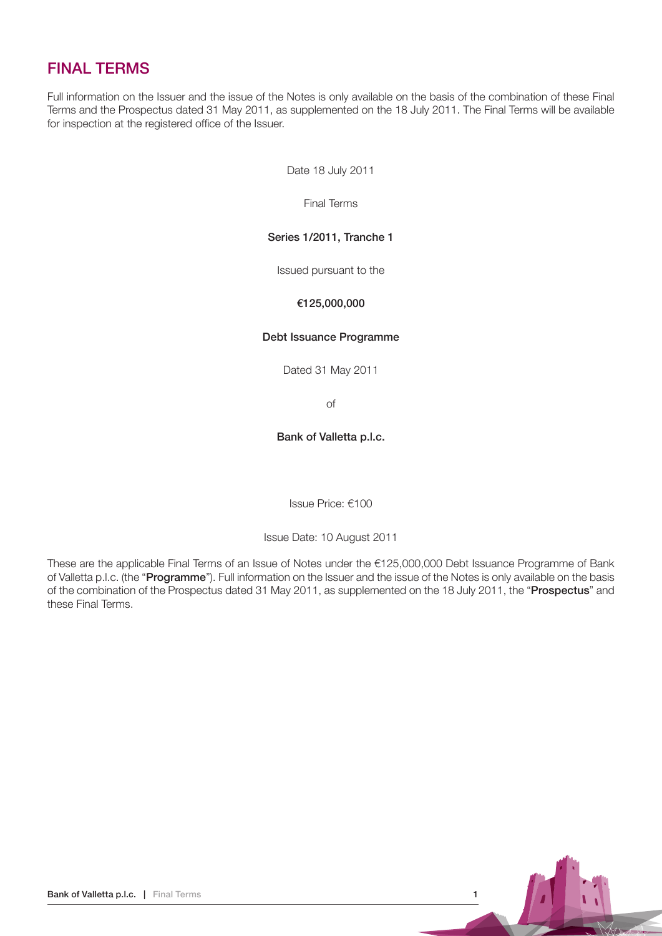# FINAL TERMS

Full information on the Issuer and the issue of the Notes is only available on the basis of the combination of these Final Terms and the Prospectus dated 31 May 2011, as supplemented on the 18 July 2011. The Final Terms will be available for inspection at the registered office of the Issuer.

Date 18 July 2011

Final Terms

# Series 1/2011, Tranche 1

Issued pursuant to the

# €125,000,000

#### Debt Issuance Programme

Dated 31 May 2011

of

# Bank of Valletta p.l.c.

Issue Price: €100

Issue Date: 10 August 2011

These are the applicable Final Terms of an Issue of Notes under the €125,000,000 Debt Issuance Programme of Bank of Valletta p.l.c. (the "Programme"). Full information on the Issuer and the issue of the Notes is only available on the basis of the combination of the Prospectus dated 31 May 2011, as supplemented on the 18 July 2011, the "Prospectus" and these Final Terms.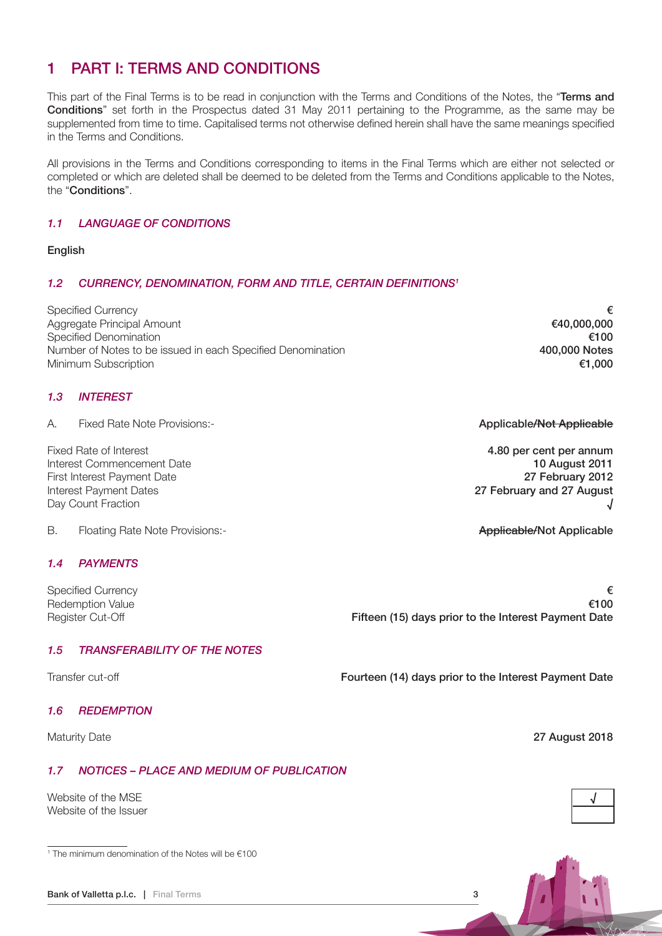# 1 Part I: Terms and Conditions

This part of the Final Terms is to be read in conjunction with the Terms and Conditions of the Notes, the "Terms and Conditions" set forth in the Prospectus dated 31 May 2011 pertaining to the Programme, as the same may be supplemented from time to time. Capitalised terms not otherwise defined herein shall have the same meanings specified in the Terms and Conditions.

All provisions in the Terms and Conditions corresponding to items in the Final Terms which are either not selected or completed or which are deleted shall be deemed to be deleted from the Terms and Conditions applicable to the Notes, the "Conditions".

# 1.1 Language of Conditions

#### English

# 1.2 CURRENCY, DENOMINATION, FORM AND TITLE, CERTAIN DEFINITIONS<sup>1</sup>

Specified Currency<br>Agareaate Principal Amount 640.000.000 Aggregate Principal Amount Specified Denomination **€100** Number of Notes to be issued in each Specified Denomination **400,000 Notes** 400,000 Notes Minimum Subscription **€1,000** 

# 1.3 **INTEREST**

A. Fixed Rate Note Provisions:- Applicable/Not Applicable/Not Applicable/Not Applicable

Fixed Rate of Interest **4.80 per cent per annum** Interest Commencement Date 10 August 2011 10 August 2011 First Interest Payment Date 27 February 2012 Interest Payment Dates **27 February and 27 August** Day Count Fraction

B. Floating Rate Note Provisions:- Applicable Motor Applicable And The Applicable Applicable

# 1.4 Payments

Specified Currency  $\epsilon$ Redemption Value  $\epsilon$ 100 Register Cut-Off **Fifteen (15) days prior to the Interest Payment Date** 

# 1.5 Transferability of the Notes

Transfer cut-off Transfer Cut-off **Fourteen (14) days prior to the Interest Payment Date** 

#### 1.6 Redemption

Maturity Date 2018

# 1.7 Notices – Place and Medium of Publication

Website of the MSF Website of the Issuer

1 The minimum denomination of the Notes will be €100

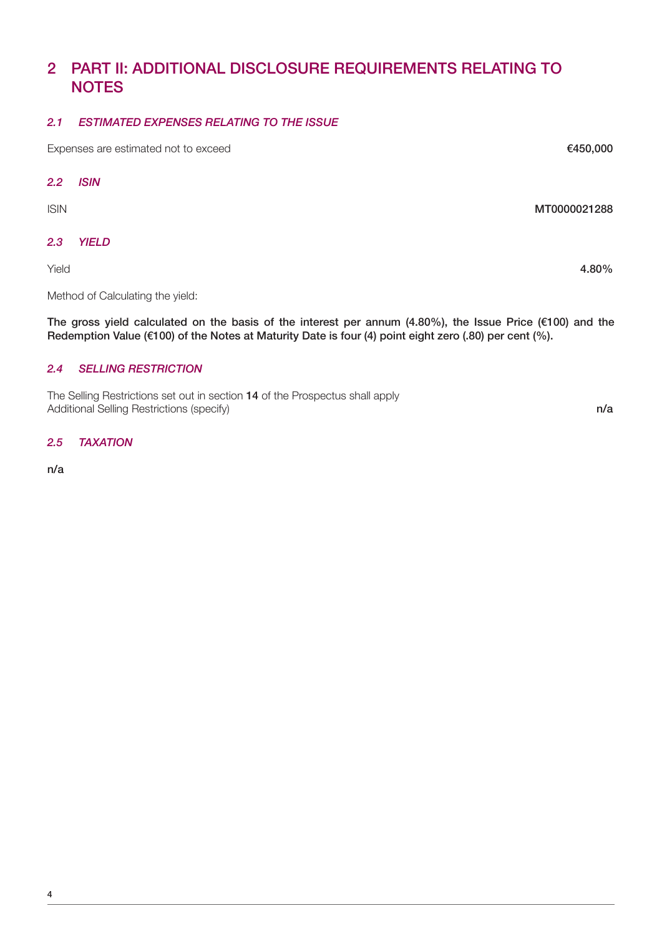# 2 Part II: Additional Disclosure Requirements Relating to **NOTES**

#### 2.1 Estimated Expenses Relating to the Issue

Expenses are estimated not to exceed Expenses are estimated not to exceed E450,000

## 2.2 ISIN

ISIN MT0000021288

# 2.3 Yield

Method of Calculating the yield:

The gross yield calculated on the basis of the interest per annum (4.80%), the Issue Price (€100) and the Redemption Value (€100) of the Notes at Maturity Date is four (4) point eight zero (.80) per cent (%).

# 2.4 Selling Restriction

The Selling Restrictions set out in section 14 of the Prospectus shall apply Additional Selling Restrictions (specify) notice that the contract of the contract of the contract of the contract of the contract of the contract of the contract of the contract of the contract of the contract of the cont

2.5 TAXATION

n/a

Yield 4.80%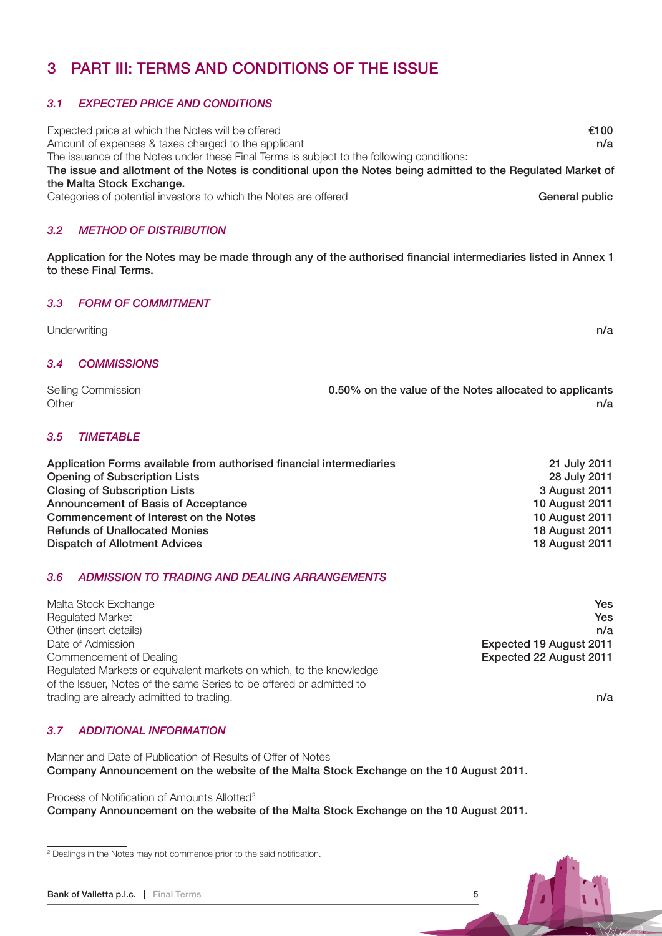# 3 PART III: Terms and Conditions of the Issue

# 3.1 EXPECTED PRICE AND CONDITIONS

Expected price at which the Notes will be offered  $\epsilon$ 100 Amount of expenses & taxes charged to the applicant notice and the set of the set of the applicant n/a The issuance of the Notes under these Final Terms is subject to the following conditions: The issue and allotment of the Notes is conditional upon the Notes being admitted to the Regulated Market of the Malta Stock Exchange. Categories of potential investors to which the Notes are offered General public Categories of potential investors to which the Notes are offered

# 3.2 Method of Distribution

Application for the Notes may be made through any of the authorised financial intermediaries listed in Annex 1 to these Final Terms.

# 3.3 Form of Commitment

| Underwriting    | n/a |
|-----------------|-----|
|                 |     |
| 3.4 COMMISSIONS |     |

| Selling Commission | 0.50% on the value of the Notes allocated to applicants |
|--------------------|---------------------------------------------------------|
| Other              | n/a                                                     |

# 3.5 TIMETABLE

| Application Forms available from authorised financial intermediaries | 21 July 2011          |
|----------------------------------------------------------------------|-----------------------|
| <b>Opening of Subscription Lists</b>                                 | 28 July 2011          |
| <b>Closing of Subscription Lists</b>                                 | 3 August 2011         |
| Announcement of Basis of Acceptance                                  | <b>10 August 2011</b> |
| Commencement of Interest on the Notes                                | <b>10 August 2011</b> |
| <b>Refunds of Unallocated Monies</b>                                 | <b>18 August 2011</b> |
| Dispatch of Allotment Advices                                        | 18 August 2011        |

#### 3.6 Admission to Trading and Dealing Arrangements

| Malta Stock Exchange                                                                                                                       | <b>Yes</b>              |  |
|--------------------------------------------------------------------------------------------------------------------------------------------|-------------------------|--|
| <b>Regulated Market</b>                                                                                                                    | Yes                     |  |
| Other (insert details)                                                                                                                     | n/a                     |  |
| Date of Admission                                                                                                                          | Expected 19 August 2011 |  |
| Commencement of Dealing                                                                                                                    | Expected 22 August 2011 |  |
| Regulated Markets or equivalent markets on which, to the knowledge<br>of the Issuer, Notes of the same Series to be offered or admitted to |                         |  |
| trading are already admitted to trading.                                                                                                   | n/a                     |  |

# 3.7 Additional Information

Manner and Date of Publication of Results of Offer of Notes Company Announcement on the website of the Malta Stock Exchange on the 10 August 2011.

Process of Notification of Amounts Allotted<sup>2</sup>

Company Announcement on the website of the Malta Stock Exchange on the 10 August 2011.

<sup>&</sup>lt;sup>2</sup> Dealings in the Notes may not commence prior to the said notification.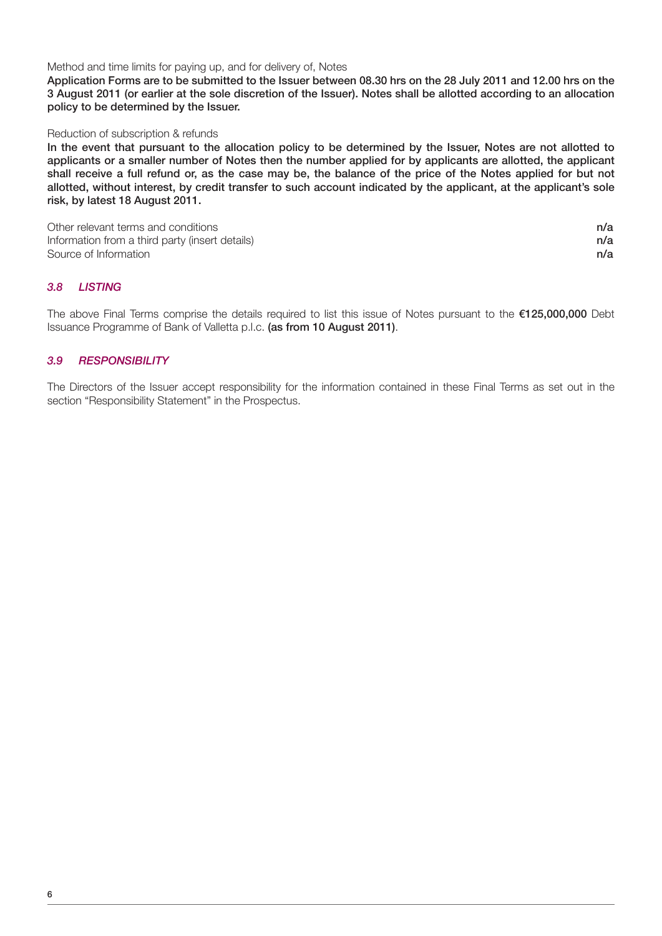Method and time limits for paying up, and for delivery of, Notes

Application Forms are to be submitted to the Issuer between 08.30 hrs on the 28 July 2011 and 12.00 hrs on the 3 August 2011 (or earlier at the sole discretion of the Issuer). Notes shall be allotted according to an allocation policy to be determined by the Issuer.

#### Reduction of subscription & refunds

In the event that pursuant to the allocation policy to be determined by the Issuer, Notes are not allotted to applicants or a smaller number of Notes then the number applied for by applicants are allotted, the applicant shall receive a full refund or, as the case may be, the balance of the price of the Notes applied for but not allotted, without interest, by credit transfer to such account indicated by the applicant, at the applicant's sole risk, by latest 18 August 2011.

Other relevant terms and conditions notice that the conditions is not a set of the conditions of the conditions of the conditions of the conditions of the conditions of the conditions of the conditions of the conditions of Information from a third party (insert details)  $n/a$ Source of Information **n/a** 

# 3.8 Listing

The above Final Terms comprise the details required to list this issue of Notes pursuant to the €125,000,000 Debt Issuance Programme of Bank of Valletta p.l.c. (as from 10 August 2011).

# 3.9 RESPONSIBILITY

The Directors of the Issuer accept responsibility for the information contained in these Final Terms as set out in the section "Responsibility Statement" in the Prospectus.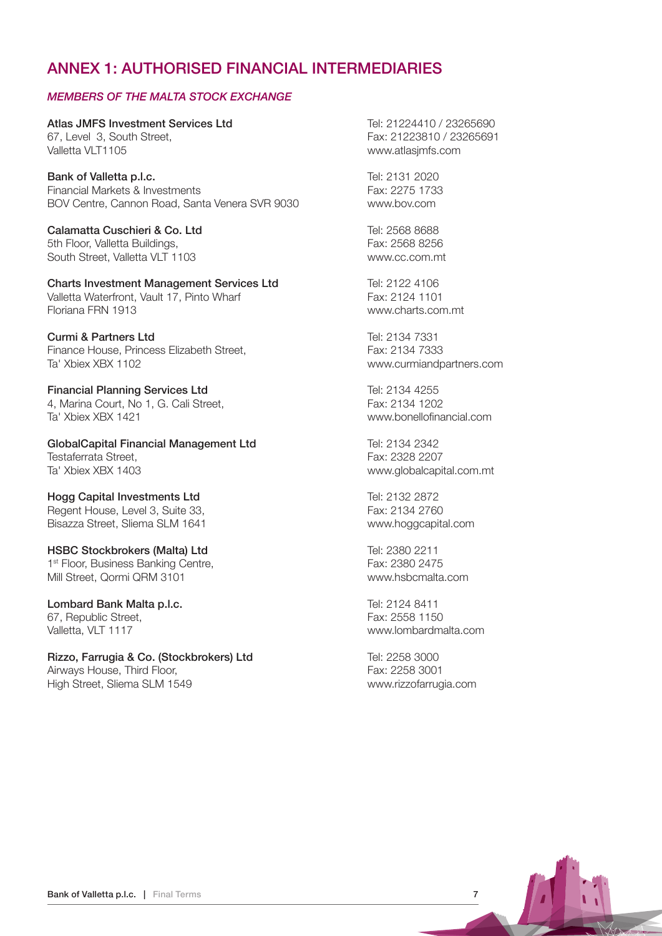# ANNEX 1: AUTHORISED FINANCIAL INTERMEDIARIES

# Members of the Malta Stock Exchange

Atlas JMFS Investment Services Ltd Tel: 21224410 / 23265690 67. Level 3, South Street, Fax: 21223810 / 23265691 Valletta VLT1105 www.atlasjmfs.com

Bank of Valletta p.l.c. Tel: 2131 2020 Financial Markets & Investments Fax: 2275 1733 BOV Centre, Cannon Road, Santa Venera SVR 9030 www.bov.com

Calamatta Cuschieri & Co. Ltd Tel: 2568 8688 5th Floor, Valletta Buildings, Fax: 2568 8256 South Street, Valletta VLT 1103 www.cc.com.mt

Charts Investment Management Services Ltd Tel: 2122 4106 Valletta Waterfront, Vault 17, Pinto Wharf Fax: 2124 1101<br>Floriana FRN 1913

Curmi & Partners Ltd Tel: 2134 7331 Finance House, Princess Elizabeth Street. Fax: 2134 7333 Ta' Xbiex XBX 1102 www.curmiandpartners.com

**Financial Planning Services Ltd** Tel: 2134 4255 4, Marina Court, No 1, G. Cali Street, Fax: 2134 1202 Ta' Xbiex XBX 1421 www.bonellofinancial.com

GlobalCapital Financial Management Ltd Tel: 2134 2342 Testaferrata Street,<br>
Ta' Xbiex XBX 1403<br>
Ta' Xbiex XBX 1403

Hogg Capital Investments Ltd Tel: 2132 2872 Regent House, Level 3, Suite 33, Fax: 2134 2760 Bisazza Street, Sliema SLM 1641 www.hoggcapital.com

HSBC Stockbrokers (Malta) Ltd Tel: 2380 2211 1<sup>st</sup> Floor, Business Banking Centre, The Contemporary Case of Fax: 2380 2475 Mill Street, Qormi QRM 3101 www.hsbcmalta.com

Lombard Bank Malta p.l.c. Tel: 2124 8411 67, Republic Street, Fax: 2558 1150 Valletta, VLT 1117 www.lombardmalta.com

Rizzo, Farrugia & Co. (Stockbrokers) Ltd Tel: 2258 3000 Airways House, Third Floor, Third Floor, Third Floor, Third Fax: 2258 3001 High Street, Sliema SLM 1549 www.rizzofarrugia.com

www.charts.com.mt

www.globalcapital.com.mt